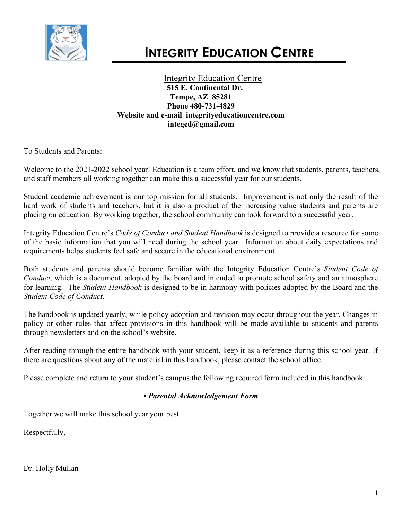

Integrity Education Centre **515 E. Continental Dr. Tempe, AZ 85281 Phone 480-731-4829 Website and e-mail integrityeducationcentre.com integed@gmail.com**

To Students and Parents:

Welcome to the 2021-2022 school year! Education is a team effort, and we know that students, parents, teachers, and staff members all working together can make this a successful year for our students.

Student academic achievement is our top mission for all students. Improvement is not only the result of the hard work of students and teachers, but it is also a product of the increasing value students and parents are placing on education. By working together, the school community can look forward to a successful year.

Integrity Education Centre's *Code of Conduct and Student Handbook* is designed to provide a resource for some of the basic information that you will need during the school year. Information about daily expectations and requirements helps students feel safe and secure in the educational environment.

Both students and parents should become familiar with the Integrity Education Centre's *Student Code of Conduct*, which is a document, adopted by the board and intended to promote school safety and an atmosphere for learning. The *Student Handbook* is designed to be in harmony with policies adopted by the Board and the *Student Code of Conduct*.

The handbook is updated yearly, while policy adoption and revision may occur throughout the year. Changes in policy or other rules that affect provisions in this handbook will be made available to students and parents through newsletters and on the school's website.

After reading through the entire handbook with your student, keep it as a reference during this school year. If there are questions about any of the material in this handbook, please contact the school office.

Please complete and return to your student's campus the following required form included in this handbook:

# *• Parental Acknowledgement Form*

Together we will make this school year your best.

Respectfully,

Dr. Holly Mullan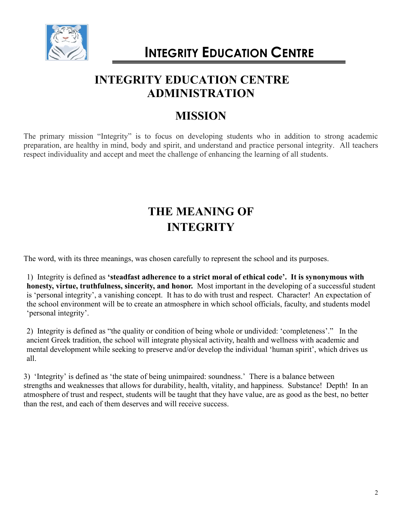

# **INTEGRITY EDUCATION CENTRE ADMINISTRATION**

# **MISSION**

The primary mission "Integrity" is to focus on developing students who in addition to strong academic preparation, are healthy in mind, body and spirit, and understand and practice personal integrity. All teachers respect individuality and accept and meet the challenge of enhancing the learning of all students.

# **THE MEANING OF INTEGRITY**

The word, with its three meanings, was chosen carefully to represent the school and its purposes.

1) Integrity is defined as **'steadfast adherence to a strict moral of ethical code'. It is synonymous with honesty, virtue, truthfulness, sincerity, and honor.** Most important in the developing of a successful student is 'personal integrity', a vanishing concept. It has to do with trust and respect. Character! An expectation of the school environment will be to create an atmosphere in which school officials, faculty, and students model 'personal integrity'.

2) Integrity is defined as "the quality or condition of being whole or undivided: 'completeness'." In the ancient Greek tradition, the school will integrate physical activity, health and wellness with academic and mental development while seeking to preserve and/or develop the individual 'human spirit', which drives us all.

3) 'Integrity' is defined as 'the state of being unimpaired: soundness.' There is a balance between strengths and weaknesses that allows for durability, health, vitality, and happiness. Substance! Depth! In an atmosphere of trust and respect, students will be taught that they have value, are as good as the best, no better than the rest, and each of them deserves and will receive success.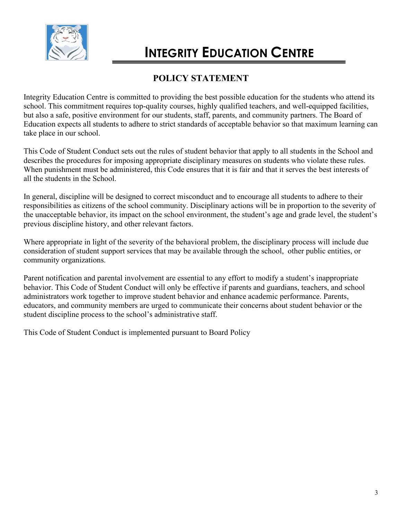

# **POLICY STATEMENT**

Integrity Education Centre is committed to providing the best possible education for the students who attend its school. This commitment requires top-quality courses, highly qualified teachers, and well-equipped facilities, but also a safe, positive environment for our students, staff, parents, and community partners. The Board of Education expects all students to adhere to strict standards of acceptable behavior so that maximum learning can take place in our school.

This Code of Student Conduct sets out the rules of student behavior that apply to all students in the School and describes the procedures for imposing appropriate disciplinary measures on students who violate these rules. When punishment must be administered, this Code ensures that it is fair and that it serves the best interests of all the students in the School.

In general, discipline will be designed to correct misconduct and to encourage all students to adhere to their responsibilities as citizens of the school community. Disciplinary actions will be in proportion to the severity of the unacceptable behavior, its impact on the school environment, the student's age and grade level, the student's previous discipline history, and other relevant factors.

Where appropriate in light of the severity of the behavioral problem, the disciplinary process will include due consideration of student support services that may be available through the school, other public entities, or community organizations.

Parent notification and parental involvement are essential to any effort to modify a student's inappropriate behavior. This Code of Student Conduct will only be effective if parents and guardians, teachers, and school administrators work together to improve student behavior and enhance academic performance. Parents, educators, and community members are urged to communicate their concerns about student behavior or the student discipline process to the school's administrative staff.

This Code of Student Conduct is implemented pursuant to Board Policy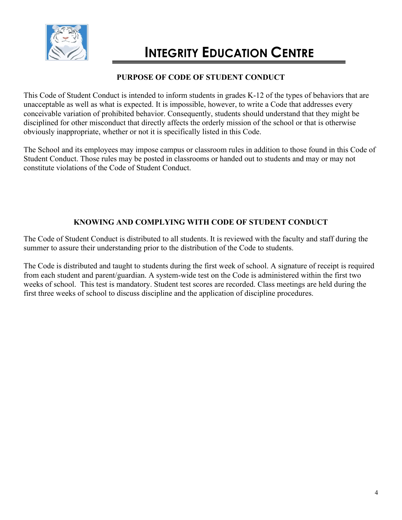

# **PURPOSE OF CODE OF STUDENT CONDUCT**

This Code of Student Conduct is intended to inform students in grades K-12 of the types of behaviors that are unacceptable as well as what is expected. It is impossible, however, to write a Code that addresses every conceivable variation of prohibited behavior. Consequently, students should understand that they might be disciplined for other misconduct that directly affects the orderly mission of the school or that is otherwise obviously inappropriate, whether or not it is specifically listed in this Code.

The School and its employees may impose campus or classroom rules in addition to those found in this Code of Student Conduct. Those rules may be posted in classrooms or handed out to students and may or may not constitute violations of the Code of Student Conduct.

# **KNOWING AND COMPLYING WITH CODE OF STUDENT CONDUCT**

The Code of Student Conduct is distributed to all students. It is reviewed with the faculty and staff during the summer to assure their understanding prior to the distribution of the Code to students.

The Code is distributed and taught to students during the first week of school. A signature of receipt is required from each student and parent/guardian. A system-wide test on the Code is administered within the first two weeks of school. This test is mandatory. Student test scores are recorded. Class meetings are held during the first three weeks of school to discuss discipline and the application of discipline procedures.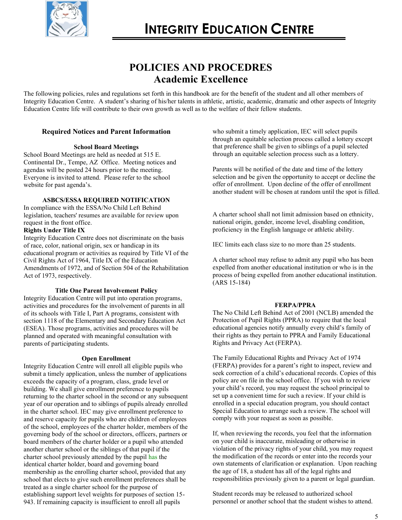

# **POLICIES AND PROCEDRES Academic Excellence**

The following policies, rules and regulations set forth in this handbook are for the benefit of the student and all other members of Integrity Education Centre. A student's sharing of his/her talents in athletic, artistic, academic, dramatic and other aspects of Integrity Education Centre life will contribute to their own growth as well as to the welfare of their fellow students.

# **Required Notices and Parent Information**

### **School Board Meetings**

School Board Meetings are held as needed at 515 E. Continental Dr., Tempe, AZ Office. Meeting notices and agendas will be posted 24 hours prior to the meeting. Everyone is invited to attend. Please refer to the school website for past agenda's.

### **ASBCS/ESSA REQUIRED NOTIFICATION**

In compliance with the ESSA/No Child Left Behind legislation, teachers' resumes are available for review upon request in the front office.

### **Rights Under Title IX**

Integrity Education Centre does not discriminate on the basis of race, color, national origin, sex or handicap in its educational program or activities as required by Title VI of the Civil Rights Act of 1964, Title IX of the Education Amendments of 1972, and of Section 504 of the Rehabilitation Act of 1973, respectively.

# **Title One Parent Involvement Policy**

Integrity Education Centre will put into operation programs, activities and procedures for the involvement of parents in all of its schools with Title I, Part A programs, consistent with section 1118 of the Elementary and Secondary Education Act (ESEA). Those programs, activities and procedures will be planned and operated with meaningful consultation with parents of participating students.

# **Open Enrollment**

Integrity Education Centre will enroll all eligible pupils who submit a timely application, unless the number of applications exceeds the capacity of a program, class, grade level or building. We shall give enrollment preference to pupils returning to the charter school in the second or any subsequent year of our operation and to siblings of pupils already enrolled in the charter school. IEC may give enrollment preference to and reserve capacity for pupils who are children of employees of the school, employees of the charter holder, members of the governing body of the school or directors, officers, partners or board members of the charter holder or a pupil who attended another charter school or the siblings of that pupil if the charter school previously attended by the pupil has the identical charter holder, board and governing board membership as the enrolling charter school, provided that any school that elects to give such enrollment preferences shall be treated as a single charter school for the purpose of establishing support level weights for purposes of section 15- 943. If remaining capacity is insufficient to enroll all pupils

who submit a timely application, IEC will select pupils through an equitable selection process called a lottery except that preference shall be given to siblings of a pupil selected through an equitable selection process such as a lottery.

Parents will be notified of the date and time of the lottery selection and be given the opportunity to accept or decline the offer of enrollment. Upon decline of the offer of enrollment another student will be chosen at random until the spot is filled.

A charter school shall not limit admission based on ethnicity, national origin, gender, income level, disabling condition, proficiency in the English language or athletic ability.

IEC limits each class size to no more than 25 students.

A charter school may refuse to admit any pupil who has been expelled from another educational institution or who is in the process of being expelled from another educational institution. (ARS 15-184)

#### **FERPA/PPRA**

The No Child Left Behind Act of 2001 (NCLB) amended the Protection of Pupil Rights (PPRA) to require that the local educational agencies notify annually every child's family of their rights as they pertain to PPRA and Family Educational Rights and Privacy Act (FERPA).

The Family Educational Rights and Privacy Act of 1974 (FERPA) provides for a parent's right to inspect, review and seek correction of a child's educational records. Copies of this policy are on file in the school office. If you wish to review your child's record, you may request the school principal to set up a convenient time for such a review. If your child is enrolled in a special education program, you should contact Special Education to arrange such a review. The school will comply with your request as soon as possible.

If, when reviewing the records, you feel that the information on your child is inaccurate, misleading or otherwise in violation of the privacy rights of your child, you may request the modification of the records or enter into the records your own statements of clarification or explanation. Upon reaching the age of 18, a student has all of the legal rights and responsibilities previously given to a parent or legal guardian.

Student records may be released to authorized school personnel or another school that the student wishes to attend.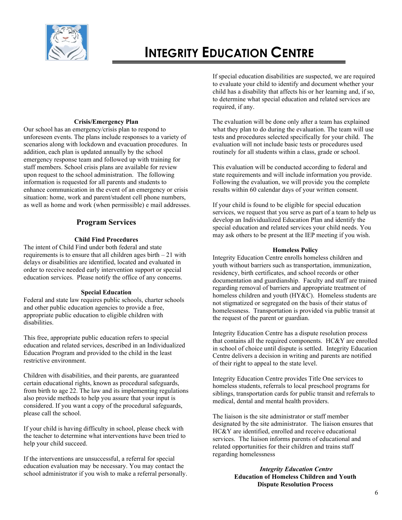

### **Crisis/Emergency Plan**

Our school has an emergency/crisis plan to respond to unforeseen events. The plans include responses to a variety of scenarios along with lockdown and evacuation procedures. In addition, each plan is updated annually by the school emergency response team and followed up with training for staff members. School crisis plans are available for review upon request to the school administration. The following information is requested for all parents and students to enhance communication in the event of an emergency or crisis situation: home, work and parent/student cell phone numbers, as well as home and work (when permissible) e mail addresses.

# **Program Services**

# **Child Find Procedures**

The intent of Child Find under both federal and state requirements is to ensure that all children ages birth – 21 with delays or disabilities are identified, located and evaluated in order to receive needed early intervention support or special education services. Please notify the office of any concerns.

# **Special Education**

Federal and state law requires public schools, charter schools and other public education agencies to provide a free, appropriate public education to eligible children with disabilities.

This free, appropriate public education refers to special education and related services, described in an Individualized Education Program and provided to the child in the least restrictive environment.

Children with disabilities, and their parents, are guaranteed certain educational rights, known as procedural safeguards, from birth to age 22. The law and its implementing regulations also provide methods to help you assure that your input is considered. If you want a copy of the procedural safeguards, please call the school.

If your child is having difficulty in school, please check with the teacher to determine what interventions have been tried to help your child succeed.

If the interventions are unsuccessful, a referral for special education evaluation may be necessary. You may contact the school administrator if you wish to make a referral personally. If special education disabilities are suspected, we are required to evaluate your child to identify and document whether your child has a disability that affects his or her learning and, if so, to determine what special education and related services are required, if any.

The evaluation will be done only after a team has explained what they plan to do during the evaluation. The team will use tests and procedures selected specifically for your child. The evaluation will not include basic tests or procedures used routinely for all students within a class, grade or school.

This evaluation will be conducted according to federal and state requirements and will include information you provide. Following the evaluation, we will provide you the complete results within 60 calendar days of your written consent.

If your child is found to be eligible for special education services, we request that you serve as part of a team to help us develop an Individualized Education Plan and identify the special education and related services your child needs. You may ask others to be present at the IEP meeting if you wish.

### **Homeless Policy**

Integrity Education Centre enrolls homeless children and youth without barriers such as transportation, immunization, residency, birth certificates, and school records or other documentation and guardianship. Faculty and staff are trained regarding removal of barriers and appropriate treatment of homeless children and youth (HY&C). Homeless students are not stigmatized or segregated on the basis of their status of homelessness. Transportation is provided via public transit at the request of the parent or guardian.

Integrity Education Centre has a dispute resolution process that contains all the required components. HC&Y are enrolled in school of choice until dispute is settled. Integrity Education Centre delivers a decision in writing and parents are notified of their right to appeal to the state level.

Integrity Education Centre provides Title One services to homeless students, referrals to local preschool programs for siblings, transportation cards for public transit and referrals to medical, dental and mental health providers.

The liaison is the site administrator or staff member designated by the site administrator. The liaison ensures that HC&Y are identified, enrolled and receive educational services. The liaison informs parents of educational and related opportunities for their children and trains staff regarding homelessness

# *Integrity Education Centre*  **Education of Homeless Children and Youth Dispute Resolution Process**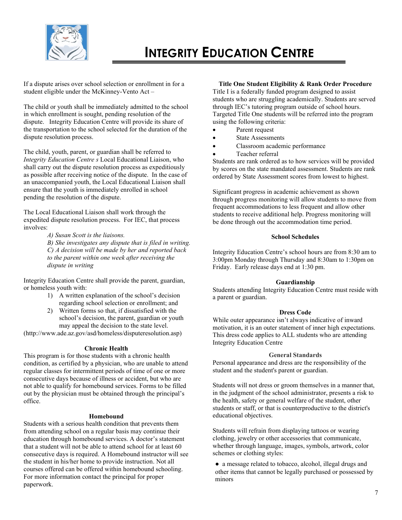

If a dispute arises over school selection or enrollment in for a student eligible under the McKinney-Vento Act –

The child or youth shall be immediately admitted to the school in which enrollment is sought, pending resolution of the dispute. Integrity Education Centre will provide its share of the transportation to the school selected for the duration of the dispute resolution process.

The child, youth, parent, or guardian shall be referred to *Integrity Education Centre s* Local Educational Liaison, who shall carry out the dispute resolution process as expeditiously as possible after receiving notice of the dispute. In the case of an unaccompanied youth, the Local Educational Liaison shall ensure that the youth is immediately enrolled in school pending the resolution of the dispute.

The Local Educational Liaison shall work through the expedited dispute resolution process. For IEC, that process involves:

> *A) Susan Scott is the liaisons. B) She investigates any dispute that is filed in writing. C) A decision will be made by her and reported back to the parent within one week after receiving the dispute in writing*

Integrity Education Centre shall provide the parent, guardian, or homeless youth with:

- 1) A written explanation of the school's decision regarding school selection or enrollment; and
- 2) Written forms so that, if dissatisfied with the school's decision, the parent, guardian or youth may appeal the decision to the state level.

(http://www.ade.az.gov/asd/homeless/disputeresolution.asp)

#### **Chronic Health**

This program is for those students with a chronic health condition, as certified by a physician, who are unable to attend regular classes for intermittent periods of time of one or more consecutive days because of illness or accident, but who are not able to qualify for homebound services. Forms to be filled out by the physician must be obtained through the principal's office.

#### **Homebound**

Students with a serious health condition that prevents them from attending school on a regular basis may continue their education through homebound services. A doctor's statement that a student will not be able to attend school for at least 60 consecutive days is required. A Homebound instructor will see the student in his/her home to provide instruction. Not all courses offered can be offered within homebound schooling. For more information contact the principal for proper paperwork.

### **Title One Student Eligibility & Rank Order Procedure**

Title I is a federally funded program designed to assist students who are struggling academically. Students are served through IEC's tutoring program outside of school hours. Targeted Title One students will be referred into the program using the following criteria:

- Parent request
- State Assessments
- Classroom academic performance
- Teacher referral

Students are rank ordered as to how services will be provided by scores on the state mandated assessment. Students are rank ordered by State Assessment scores from lowest to highest.

Significant progress in academic achievement as shown through progress monitoring will allow students to move from frequent accommodations to less frequent and allow other students to receive additional help. Progress monitoring will be done through out the accommodation time period.

#### **School Schedules**

Integrity Education Centre's school hours are from 8:30 am to 3:00pm Monday through Thursday and 8:30am to 1:30pm on Friday. Early release days end at 1:30 pm.

#### **Guardianship**

Students attending Integrity Education Centre must reside with a parent or guardian.

#### **Dress Code**

While outer appearance isn't always indicative of inward motivation, it is an outer statement of inner high expectations. This dress code applies to ALL students who are attending Integrity Education Centre

#### **General Standards**

Personal appearance and dress are the responsibility of the student and the student's parent or guardian.

Students will not dress or groom themselves in a manner that, in the judgment of the school administrator, presents a risk to the health, safety or general welfare of the student, other students or staff, or that is counterproductive to the district's educational objectives.

Students will refrain from displaying tattoos or wearing clothing, jewelry or other accessories that communicate, whether through language, images, symbols, artwork, color schemes or clothing styles:

● a message related to tobacco, alcohol, illegal drugs and other items that cannot be legally purchased or possessed by minors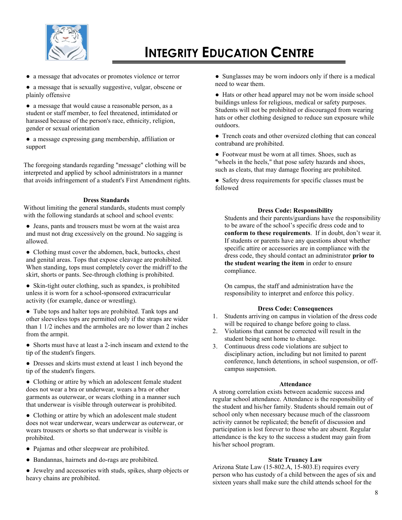

● a message that advocates or promotes violence or terror

● a message that is sexually suggestive, vulgar, obscene or plainly offensive

● a message that would cause a reasonable person, as a student or staff member, to feel threatened, intimidated or harassed because of the person's race, ethnicity, religion, gender or sexual orientation

● a message expressing gang membership, affiliation or support

The foregoing standards regarding "message" clothing will be interpreted and applied by school administrators in a manner that avoids infringement of a student's First Amendment rights.

# **Dress Standards**

Without limiting the general standards, students must comply with the following standards at school and school events:

- Jeans, pants and trousers must be worn at the waist area and must not drag excessively on the ground. No sagging is allowed.
- Clothing must cover the abdomen, back, buttocks, chest and genital areas. Tops that expose cleavage are prohibited. When standing, tops must completely cover the midriff to the skirt, shorts or pants. See-through clothing is prohibited.
- Skin-tight outer clothing, such as spandex, is prohibited unless it is worn for a school-sponsored extracurricular activity (for example, dance or wrestling).
- Tube tops and halter tops are prohibited. Tank tops and other sleeveless tops are permitted only if the straps are wider than 1 1/2 inches and the armholes are no lower than 2 inches from the armpit.
- Shorts must have at least a 2-inch inseam and extend to the tip of the student's fingers.
- Dresses and skirts must extend at least 1 inch beyond the tip of the student's fingers.
- Clothing or attire by which an adolescent female student does not wear a bra or underwear, wears a bra or other garments as outerwear, or wears clothing in a manner such that underwear is visible through outerwear is prohibited.
- Clothing or attire by which an adolescent male student does not wear underwear, wears underwear as outerwear, or wears trousers or shorts so that underwear is visible is prohibited.
- Pajamas and other sleepwear are prohibited.
- Bandannas, hairnets and do-rags are prohibited.
- Jewelry and accessories with studs, spikes, sharp objects or heavy chains are prohibited.

● Sunglasses may be worn indoors only if there is a medical need to wear them.

• Hats or other head apparel may not be worn inside school buildings unless for religious, medical or safety purposes. Students will not be prohibited or discouraged from wearing hats or other clothing designed to reduce sun exposure while outdoors.

● Trench coats and other oversized clothing that can conceal contraband are prohibited.

● Footwear must be worn at all times. Shoes, such as "wheels in the heels," that pose safety hazards and shoes, such as cleats, that may damage flooring are prohibited.

● Safety dress requirements for specific classes must be followed

# **Dress Code: Responsibility**

Students and their parents/guardians have the responsibility to be aware of the school's specific dress code and to **conform to these requirements**. If in doubt, don't wear it. If students or parents have any questions about whether specific attire or accessories are in compliance with the dress code, they should contact an administrator **prior to the student wearing the item** in order to ensure compliance.

On campus, the staff and administration have the responsibility to interpret and enforce this policy.

# **Dress Code: Consequences**

- 1. Students arriving on campus in violation of the dress code will be required to change before going to class.
- 2. Violations that cannot be corrected will result in the student being sent home to change.
- 3. Continuous dress code violations are subject to disciplinary action, including but not limited to parent conference, lunch detentions, in school suspension, or offcampus suspension.

#### **Attendance**

A strong correlation exists between academic success and regular school attendance. Attendance is the responsibility of the student and his/her family. Students should remain out of school only when necessary because much of the classroom activity cannot be replicated; the benefit of discussion and participation is lost forever to those who are absent. Regular attendance is the key to the success a student may gain from his/her school program.

# **State Truancy Law**

Arizona State Law (15-802.A, 15-803.E) requires every person who has custody of a child between the ages of six and sixteen years shall make sure the child attends school for the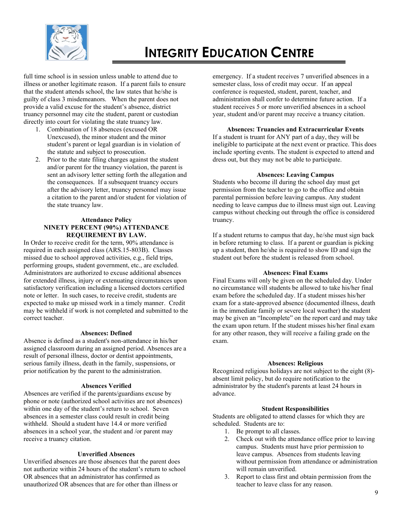

full time school is in session unless unable to attend due to illness or another legitimate reason. If a parent fails to ensure that the student attends school, the law states that he/she is guilty of class 3 misdemeanors. When the parent does not provide a valid excuse for the student's absence, district truancy personnel may cite the student, parent or custodian directly into court for violating the state truancy law.

- 1. Combination of 18 absences (excused OR Unexcused), the minor student and the minor student's parent or legal guardian is in violation of the statute and subject to prosecution.
- 2. Prior to the state filing charges against the student and/or parent for the truancy violation, the parent is sent an advisory letter setting forth the allegation and the consequences. If a subsequent truancy occurs after the advisory letter, truancy personnel may issue a citation to the parent and/or student for violation of the state truancy law.

# **Attendance Policy NINETY PERCENT (90%) ATTENDANCE REQUIREMENT BY LAW.**

In Order to receive credit for the term, 90% attendance is required in each assigned class (ARS.15-803B). Classes missed due to school approved activities, e.g., field trips, performing groups, student government, etc., are excluded. Administrators are authorized to excuse additional absences for extended illness, injury or extenuating circumstances upon satisfactory verification including a licensed doctors certified note or letter. In such cases, to receive credit, students are expected to make up missed work in a timely manner. Credit may be withheld if work is not completed and submitted to the correct teacher.

#### **Absences: Defined**

Absence is defined as a student's non-attendance in his/her assigned classroom during an assigned period. Absences are a result of personal illness, doctor or dentist appointments, serious family illness, death in the family, suspensions, or prior notification by the parent to the administration.

# **Absences Verified**

Absences are verified if the parents/guardians excuse by phone or note (authorized school activities are not absences) within one day of the student's return to school. Seven absences in a semester class could result in credit being withheld. Should a student have 14.4 or more verified absences in a school year, the student and /or parent may receive a truancy citation.

#### **Unverified Absences**

Unverified absences are those absences that the parent does not authorize within 24 hours of the student's return to school OR absences that an administrator has confirmed as unauthorized OR absences that are for other than illness or

emergency. If a student receives 7 unverified absences in a semester class, loss of credit may occur. If an appeal conference is requested, student, parent, teacher, and administration shall confer to determine future action. If a student receives 5 or more unverified absences in a school year, student and/or parent may receive a truancy citation.

### **Absences: Truancies and Extracurricular Events**

If a student is truant for ANY part of a day, they will be ineligible to participate at the next event or practice. This does include sporting events. The student is expected to attend and dress out, but they may not be able to participate.

#### **Absences: Leaving Campus**

Students who become ill during the school day must get permission from the teacher to go to the office and obtain parental permission before leaving campus. Any student needing to leave campus due to illness must sign out. Leaving campus without checking out through the office is considered truancy.

If a student returns to campus that day, he/she must sign back in before returning to class. If a parent or guardian is picking up a student, then he/she is required to show ID and sign the student out before the student is released from school.

#### **Absences: Final Exams**

Final Exams will only be given on the scheduled day. Under no circumstance will students be allowed to take his/her final exam before the scheduled day. If a student misses his/her exam for a state-approved absence (documented illness, death in the immediate family or severe local weather) the student may be given an "Incomplete" on the report card and may take the exam upon return. If the student misses his/her final exam for any other reason, they will receive a failing grade on the exam.

#### **Absences: Religious**

Recognized religious holidays are not subject to the eight (8) absent limit policy, but do require notification to the administrator by the student's parents at least 24 hours in advance.

#### **Student Responsibilities**

Students are obligated to attend classes for which they are scheduled. Students are to:

- 1. Be prompt to all classes.
- 2. Check out with the attendance office prior to leaving campus. Students must have prior permission to leave campus. Absences from students leaving without permission from attendance or administration will remain unverified.
- 3. Report to class first and obtain permission from the teacher to leave class for any reason.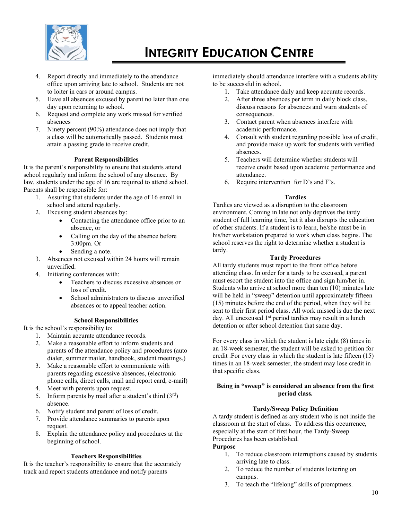

- 4. Report directly and immediately to the attendance office upon arriving late to school. Students are not to loiter in cars or around campus.
- 5. Have all absences excused by parent no later than one day upon returning to school.
- 6. Request and complete any work missed for verified absences
- 7. Ninety percent (90%) attendance does not imply that a class will be automatically passed. Students must attain a passing grade to receive credit.

# **Parent Responsibilities**

It is the parent's responsibility to ensure that students attend school regularly and inform the school of any absence. By law, students under the age of 16 are required to attend school. Parents shall be responsible for:

- 1. Assuring that students under the age of 16 enroll in school and attend regularly.
- 2. Excusing student absences by:
	- Contacting the attendance office prior to an absence, or
	- Calling on the day of the absence before 3:00pm. Or
	- Sending a note.
- 3. Absences not excused within 24 hours will remain unverified.
- 4. Initiating conferences with:
	- Teachers to discuss excessive absences or loss of credit.
	- School administrators to discuss unverified absences or to appeal teacher action.

# **School Responsibilities**

It is the school's responsibility to:

- 1. Maintain accurate attendance records.
- 2. Make a reasonable effort to inform students and parents of the attendance policy and procedures (auto dialer, summer mailer, handbook, student meetings.)
- 3. Make a reasonable effort to communicate with parents regarding excessive absences, (electronic phone calls, direct calls, mail and report card, e-mail)
- 4. Meet with parents upon request.
- 5. Inform parents by mail after a student's third  $(3<sup>rd</sup>)$ absence.
- 6. Notify student and parent of loss of credit.
- 7. Provide attendance summaries to parents upon request.
- 8. Explain the attendance policy and procedures at the beginning of school.

# **Teachers Responsibilities**

It is the teacher's responsibility to ensure that the accurately track and report students attendance and notify parents

immediately should attendance interfere with a students ability to be successful in school.

- 1. Take attendance daily and keep accurate records.
- 2. After three absences per term in daily block class, discuss reasons for absences and warn students of consequences.
- 3. Contact parent when absences interfere with academic performance.
- 4. Consult with student regarding possible loss of credit, and provide make up work for students with verified absences.
- 5. Teachers will determine whether students will receive credit based upon academic performance and attendance.
- 6. Require intervention for D's and F's.

# **Tardies**

Tardies are viewed as a disruption to the classroom environment. Coming in late not only deprives the tardy student of full learning time, but it also disrupts the education of other students. If a student is to learn, he/she must be in his/her workstation prepared to work when class begins. The school reserves the right to determine whether a student is tardy.

# **Tardy Procedures**

All tardy students must report to the front office before attending class. In order for a tardy to be excused, a parent must escort the student into the office and sign him/her in. Students who arrive at school more than ten (10) minutes late will be held in "sweep" detention until approximately fifteen (15) minutes before the end of the period, when they will be sent to their first period class. All work missed is due the next day. All unexcused 1<sup>st</sup> period tardies may result in a lunch detention or after school detention that same day.

For every class in which the student is late eight (8) times in an 18-week semester, the student will be asked to petition for credit .For every class in which the student is late fifteen (15) times in an 18-week semester, the student may lose credit in that specific class.

# **Being in "sweep" is considered an absence from the first period class.**

# **Tardy/Sweep Policy Definition**

A tardy student is defined as any student who is not inside the classroom at the start of class. To address this occurrence, especially at the start of first hour, the Tardy-Sweep Procedures has been established.

# **Purpose**

- 1. To reduce classroom interruptions caused by students arriving late to class.
- 2. To reduce the number of students loitering on campus.
- 3. To teach the "lifelong" skills of promptness.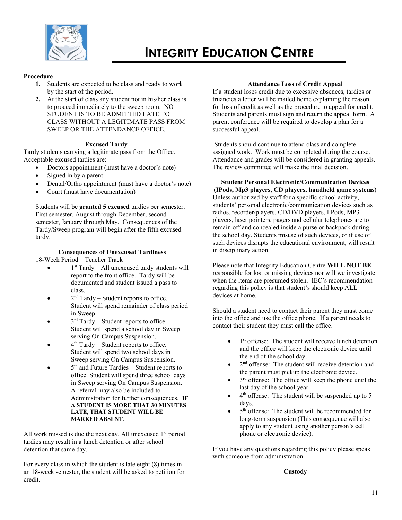

# **Procedure**

- **1.** Students are expected to be class and ready to work by the start of the period.
- **2.** At the start of class any student not in his/her class is to proceed immediately to the sweep room. NO STUDENT IS TO BE ADMITTED LATE TO CLASS WITHOUT A LEGITIMATE PASS FROM SWEEP OR THE ATTENDANCE OFFICE.

# **Excused Tardy**

Tardy students carrying a legitimate pass from the Office. Acceptable excused tardies are:

- Doctors appointment (must have a doctor's note)
- Signed in by a parent
- Dental/Ortho appointment (must have a doctor's note)
- Court (must have documentation)

Students will be **granted 5 excused** tardies per semester. First semester, August through December; second semester, January through May. Consequences of the Tardy/Sweep program will begin after the fifth excused tardy.

### **Consequences of Unexcused Tardiness**

18-Week Period – Teacher Track

- $\bullet$  1<sup>st</sup> Tardy All unexcused tardy students will report to the front office. Tardy will be documented and student issued a pass to class.
- $\bullet$  2<sup>nd</sup> Tardy Student reports to office. Student will spend remainder of class period in Sweep.
- $\bullet$  3<sup>rd</sup> Tardy Student reports to office. Student will spend a school day in Sweep serving On Campus Suspension.
- $\bullet$  4<sup>th</sup> Tardy Student reports to office. Student will spend two school days in Sweep serving On Campus Suspension.
- $\bullet$  5<sup>th</sup> and Future Tardies Student reports to office. Student will spend three school days in Sweep serving On Campus Suspension. A referral may also be included to Administration for further consequences. **IF A STUDENT IS MORE THAT 30 MINUTES LATE, THAT STUDENT WILL BE MARKED ABSENT**.

All work missed is due the next day. All unexcused  $1<sup>st</sup>$  period tardies may result in a lunch detention or after school detention that same day.

For every class in which the student is late eight (8) times in an 18-week semester, the student will be asked to petition for credit.

#### **Attendance Loss of Credit Appeal**

If a student loses credit due to excessive absences, tardies or truancies a letter will be mailed home explaining the reason for loss of credit as well as the procedure to appeal for credit. Students and parents must sign and return the appeal form. A parent conference will be required to develop a plan for a successful appeal.

Students should continue to attend class and complete assigned work. Work must be completed during the course. Attendance and grades will be considered in granting appeals. The review committee will make the final decision.

# **Student Personal Electronic/Communication Devices**

**(IPods, Mp3 players, CD players, handheld game systems)** Unless authorized by staff for a specific school activity, students' personal electronic/communication devices such as radios, recorder/players, CD/DVD players, I Pods, MP3 players, laser pointers, pagers and cellular telephones are to remain off and concealed inside a purse or backpack during the school day. Students misuse of such devices, or if use of such devices disrupts the educational environment, will result in disciplinary action.

Please note that Integrity Education Centre **WILL NOT BE** responsible for lost or missing devices nor will we investigate when the items are presumed stolen. IEC's recommendation regarding this policy is that student's should keep ALL devices at home.

Should a student need to contact their parent they must come into the office and use the office phone. If a parent needs to contact their student they must call the office.

- $\bullet$  1<sup>st</sup> offense: The student will receive lunch detention and the office will keep the electronic device until the end of the school day.
- 2<sup>nd</sup> offense: The student will receive detention and the parent must pickup the electronic device.
- $\bullet$  3<sup>rd</sup> offense: The office will keep the phone until the last day of the school year.
- 4<sup>th</sup> offense: The student will be suspended up to 5 days.
- $\bullet$  5<sup>th</sup> offense: The student will be recommended for long-term suspension (This consequence will also apply to any student using another person's cell phone or electronic device).

If you have any questions regarding this policy please speak with someone from administration.

#### **Custody**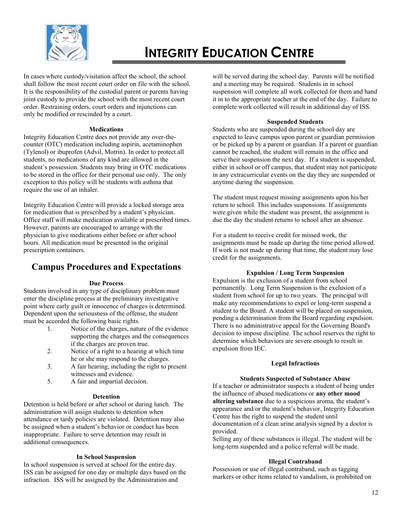

In cases where custody/visitation affect the school, the school shall follow the most recent court order on file with the school. It is the responsibility of the custodial parent or parents having joint custody to provide the school with the most recent court order. Restraining orders, court orders and injunctions can only be modified or rescinded by a court.

### **Medications**

Integrity Education Centre does not provide any over-thecounter (OTC) medication including aspirin, acetaminophen (Tylenol) or ibuprofen (Advil, Motrin). In order to protect all students, no medications of any kind are allowed in the student's possession. Students may bring in OTC medications to be stored in the office for their personal use only. The only exception to this policy will be students with asthma that require the use of an inhaler.

Integrity Education Centre will provide a locked storage area for medication that is prescribed by a student's physician. Office staff will make medication available at prescribed times. However, parents are encouraged to arrange with the physician to give medications either before or after school hours. All medication must be presented in the original prescription containers.

# **Campus Procedures and Expectations**

# **Due Process**

Students involved in any type of disciplinary problem must enter the discipline process at the preliminary investigative point where early guilt or innocence of charges is determined. Dependent upon the seriousness of the offense, the student must be accorded the following basic rights.

- 1. Notice of the charges, nature of the evidence supporting the charges and the consequences if the charges are proven true.
- 2. Notice of a right to a hearing at which time he or she may respond to the charges.
- 3. A fair hearing, including the right to present witnesses and evidence.
- 5. A fair and impartial decision.

# **Detention**

Detention is held before or after school or during lunch. The administration will assign students to detention when attendance or tardy policies are violated. Detention may also be assigned when a student's behavior or conduct has been inappropriate. Failure to serve detention may result in additional consequences.

# **In School Suspension**

In school suspension is served at school for the entire day. ISS can be assigned for one day or multiple days based on the infraction. ISS will be assigned by the Administration and

will be served during the school day. Parents will be notified and a meeting may be required. Students in in school suspension will complete all work collected for them and hand it in to the appropriate teacher at the end of the day. Failure to complete work collected will result in additional day of ISS.

### **Suspended Students**

Students who are suspended during the school day are expected to leave campus upon parent or guardian permission or be picked up by a parent or guardian. If a parent or guardian cannot be reached, the student will remain in the office and serve their suspension the next day. If a student is suspended, either in school or off campus, that student may not participate in any extracurricular events on the day they are suspended or anytime during the suspension.

The student must request missing assignments upon his/her return to school. This includes suspensions. If assignments were given while the student was present, the assignment is due the day the student returns to school after an absence.

For a student to receive credit for missed work, the assignments must be made up during the time period allowed. If work is not made up during that time, the student may lose credit for the assignments.

# **Expulsion / Long Term Suspension**

Expulsion is the exclusion of a student from school permanently. Long Term Suspension is the exclusion of a student from school for up to two years. The principal will make any recommendations to expel or long-term suspend a student to the Board. A student will be placed on suspension, pending a determination from the Board regarding expulsion. There is no administrative appeal for the Governing Board's decision to impose discipline. The school reserves the right to determine which behaviors are severe enough to result in expulsion from IEC.

# **Legal Infractions**

# **Students Suspected of Substance Abuse**

If a teacher or administrator suspects a student of being under the influence of abused medications or **any other mood altering substance** due to a suspicious aroma, the student's appearance and/or the student's behavior, Integrity Education Centre has the right to suspend the student until documentation of a clean urine analysis signed by a doctor is provided.

Selling any of these substances is illegal. The student will be long-term suspended and a police referral will be made.

# **Illegal Contraband**

Possession or use of illegal contraband, such as tagging markers or other items related to vandalism, is prohibited on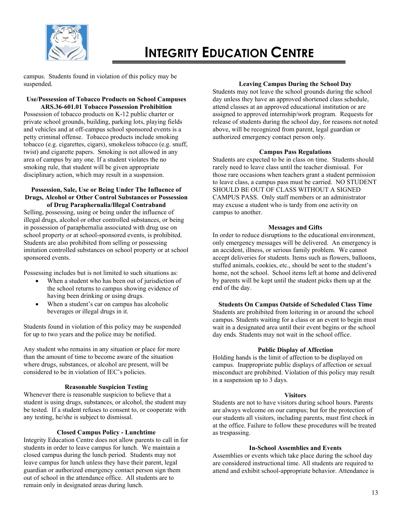

campus. Students found in violation of this policy may be suspended.

# **Use/Possession of Tobacco Products on School Campuses ARS.36-601.01 Tobacco Possession Prohibition**

Possession of tobacco products on K-12 public charter or private school grounds, building, parking lots, playing fields and vehicles and at off-campus school sponsored events is a petty criminal offense. Tobacco products include smoking tobacco (e.g. cigarettes, cigars), smokeless tobacco (e.g. snuff, twist) and cigarette papers. Smoking is not allowed in any area of campus by any one. If a student violates the no smoking rule, that student will be given appropriate disciplinary action, which may result in a suspension.

### **Possession, Sale, Use or Being Under The Influence of Drugs, Alcohol or Other Control Substances or Possession of Drug Paraphernalia/Illegal Contraband**

Selling, possessing, using or being under the influence of illegal drugs, alcohol or other controlled substances, or being in possession of paraphernalia associated with drug use on school property or at school-sponsored events, is prohibited. Students are also prohibited from selling or possessing imitation controlled substances on school property or at school sponsored events.

Possessing includes but is not limited to such situations as:

- When a student who has been out of jurisdiction of the school returns to campus showing evidence of having been drinking or using drugs.
- When a student's car on campus has alcoholic beverages or illegal drugs in it.

Students found in violation of this policy may be suspended for up to two years and the police may be notified.

Any student who remains in any situation or place for more than the amount of time to become aware of the situation where drugs, substances, or alcohol are present, will be considered to be in violation of IEC's policies.

# **Reasonable Suspicion Testing**

Whenever there is reasonable suspicion to believe that a student is using drugs, substances, or alcohol, the student may be tested. If a student refuses to consent to, or cooperate with any testing, he/she is subject to dismissal.

# **Closed Campus Policy - Lunchtime**

Integrity Education Centre does not allow parents to call in for students in order to leave campus for lunch. We maintain a closed campus during the lunch period. Students may not leave campus for lunch unless they have their parent, legal guardian or authorized emergency contact person sign them out of school in the attendance office. All students are to remain only in designated areas during lunch.

#### **Leaving Campus During the School Day**

Students may not leave the school grounds during the school day unless they have an approved shortened class schedule, attend classes at an approved educational institution or are assigned to approved internship/work program. Requests for release of students during the school day, for reasons not noted above, will be recognized from parent, legal guardian or authorized emergency contact person only.

#### **Campus Pass Regulations**

Students are expected to be in class on time. Students should rarely need to leave class until the teacher dismissal. For those rare occasions when teachers grant a student permission to leave class, a campus pass must be carried. NO STUDENT SHOULD BE OUT OF CLASS WITHOUT A SIGNED CAMPUS PASS. Only staff members or an administrator may excuse a student who is tardy from one activity on campus to another.

### **Messages and Gifts**

In order to reduce disruptions to the educational environment, only emergency messages will be delivered. An emergency is an accident, illness, or serious family problem. We cannot accept deliveries for students. Items such as flowers, balloons, stuffed animals, cookies, etc., should be sent to the student's home, not the school. School items left at home and delivered by parents will be kept until the student picks them up at the end of the day.

#### **Students On Campus Outside of Scheduled Class Time**

Students are prohibited from loitering in or around the school campus. Students waiting for a class or an event to begin must wait in a designated area until their event begins or the school day ends. Students may not wait in the school office.

#### **Public Display of Affection**

Holding hands is the limit of affection to be displayed on campus. Inappropriate public displays of affection or sexual misconduct are prohibited. Violation of this policy may result in a suspension up to 3 days.

#### **Visitors**

Students are not to have visitors during school hours. Parents are always welcome on our campus; but for the protection of our students all visitors, including parents, must first check in at the office. Failure to follow these procedures will be treated as trespassing.

### **In-School Assemblies and Events**

Assemblies or events which take place during the school day are considered instructional time. All students are required to attend and exhibit school-appropriate behavior. Attendance is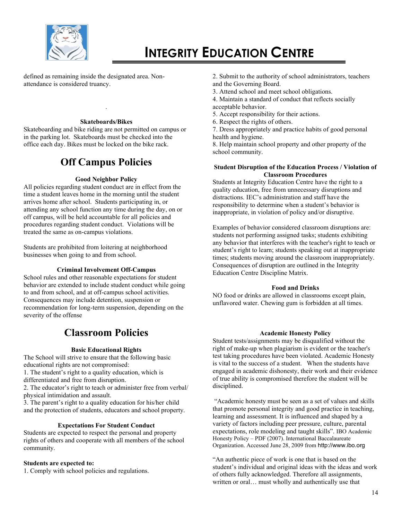

defined as remaining inside the designated area. Nonattendance is considered truancy.

#### **Skateboards/Bikes**

.

Skateboarding and bike riding are not permitted on campus or in the parking lot. Skateboards must be checked into the office each day. Bikes must be locked on the bike rack.

# **Off Campus Policies**

### **Good Neighbor Policy**

All policies regarding student conduct are in effect from the time a student leaves home in the morning until the student arrives home after school. Students participating in, or attending any school function any time during the day, on or off campus, will be held accountable for all policies and procedures regarding student conduct. Violations will be treated the same as on-campus violations.

Students are prohibited from loitering at neighborhood businesses when going to and from school.

#### **Criminal Involvement Off-Campus**

School rules and other reasonable expectations for student behavior are extended to include student conduct while going to and from school, and at off-campus school activities. Consequences may include detention, suspension or recommendation for long-term suspension, depending on the severity of the offense

# **Classroom Policies**

#### **Basic Educational Rights**

The School will strive to ensure that the following basic educational rights are not compromised:

1. The student's right to a quality education, which is differentiated and free from disruption.

2. The educator's right to teach or administer free from verbal/ physical intimidation and assault.

3. The parent's right to a quality education for his/her child and the protection of students, educators and school property.

#### **Expectations For Student Conduct**

Students are expected to respect the personal and property rights of others and cooperate with all members of the school community.

### **Students are expected to:**

1. Comply with school policies and regulations.

- 2. Submit to the authority of school administrators, teachers and the Governing Board.
- 3. Attend school and meet school obligations.
- 4. Maintain a standard of conduct that reflects socially acceptable behavior.
- 5. Accept responsibility for their actions.
- 6. Respect the rights of others.

7. Dress appropriately and practice habits of good personal health and hygiene.

8. Help maintain school property and other property of the school community.

### **Student Disruption of the Education Process / Violation of Classroom Procedures**

Students at Integrity Education Centre have the right to a quality education, free from unnecessary disruptions and distractions. IEC's administration and staff have the responsibility to determine when a student's behavior is inappropriate, in violation of policy and/or disruptive.

Examples of behavior considered classroom disruptions are: students not performing assigned tasks; students exhibiting any behavior that interferes with the teacher's right to teach or student's right to learn; students speaking out at inappropriate times; students moving around the classroom inappropriately. Consequences of disruption are outlined in the Integrity Education Centre Discipline Matrix.

#### **Food and Drinks**

NO food or drinks are allowed in classrooms except plain, unflavored water. Chewing gum is forbidden at all times.

#### **Academic Honesty Policy**

Student tests/assignments may be disqualified without the right of make-up when plagiarism is evident or the teacher's test taking procedures have been violated. Academic Honesty is vital to the success of a student. When the students have engaged in academic dishonesty, their work and their evidence of true ability is compromised therefore the student will be disciplined.

"Academic honesty must be seen as a set of values and skills that promote personal integrity and good practice in teaching, learning and assessment. It is influenced and shaped by a variety of factors including peer pressure, culture, parental expectations, role modeling and taught skills". IBO Academic Honesty Policy – PDF (2007). International Baccalaureate Organization. Accessed June 28, 2009 from http://www.ibo.org

"An authentic piece of work is one that is based on the student's individual and original ideas with the ideas and work of others fully acknowledged. Therefore all assignments, written or oral… must wholly and authentically use that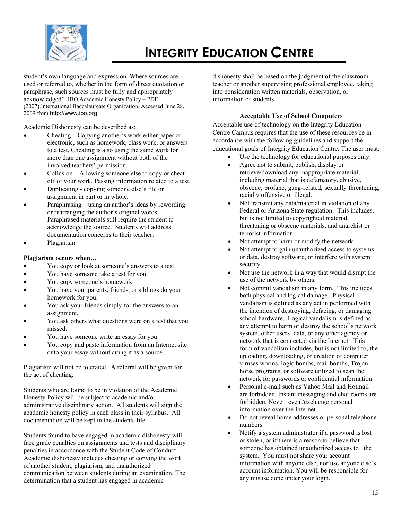

student's own language and expression. Where sources are used or referred to, whether in the form of direct quotation or paraphrase, such sources must be fully and appropriately acknowledged". IBO Academic Honesty Policy – PDF (2007).International Baccalaureate Organization. Accessed June 28, 2009 from http://www.ibo.org

Academic Dishonesty can be described as:

- Cheating Copying another's work either paper or electronic, such as homework, class work, or answers to a test. Cheating is also using the same work for more than one assignment without both of the involved teachers' permission.
- Collusion Allowing someone else to copy or cheat off of your work. Passing information related to a test.
- Duplicating copying someone else's file or assignment in part or in whole.
- Paraphrasing using an author's ideas by rewording or rearranging the author's original words. Paraphrased materials still require the student to acknowledge the source. Students will address documentation concerns to their teacher.
- Plagiarism

# **Plagiarism occurs when…**

- You copy or look at someone's answers to a test.
- You have someone take a test for you.
- You copy someone's homework.
- You have your parents, friends, or siblings do your homework for you.
- You ask your friends simply for the answers to an assignment.
- You ask others what questions were on a test that you missed.
- You have someone write an essay for you.
- You copy and paste information from an Internet site onto your essay without citing it as a source.

Plagiarism will not be tolerated. A referral will be given for the act of cheating.

Students who are found to be in violation of the Academic Honesty Policy will be subject to academic and/or administrative disciplinary action. All students will sign the academic honesty policy in each class in their syllabus. All documentation will be kept in the students file.

Students found to have engaged in academic dishonesty will face grade penalties on assignments and tests and disciplinary penalties in accordance with the Student Code of Conduct. Academic dishonesty includes cheating or copying the work of another student, plagiarism, and unauthorized communication between students during an examination. The determination that a student has engaged in academic

dishonesty shall be based on the judgment of the classroom teacher or another supervising professional employee, taking into consideration written materials, observation, or information of students

# **Acceptable Use of School Computers**

Acceptable use of technology on the Integrity Education Centre Campus requires that the use of these resources be in accordance with the following guidelines and support the educational goals of Integrity Education Centre. The user must:

- Use the technology for educational purposes only.
- Agree not to submit, publish, display or retrieve/download any inappropriate material, including material that is defamatory, abusive, obscene, profane, gang-related, sexually threatening, racially offensive or illegal.
- Not transmit any data/material in violation of any Federal or Arizona State regulation. This includes, but is not limited to copyrighted material, threatening or obscene materials, and anarchist or terrorist information.
- Not attempt to harm or modify the network.
- Not attempt to gain unauthorized access to systems or data, destroy software, or interfere with system security.
- Not use the network in a way that would disrupt the use of the network by others.
- Not commit vandalism in any form. This includes both physical and logical damage. Physical vandalism is defined as any act in performed with the intention of destroying, defacing, or damaging school hardware. Logical vandalism is defined as any attempt to harm or destroy the school's network system, other users' data, or any other agency or network that is connected via the Internet. This form of vandalism includes, but is not limited to, the uploading, downloading, or creation of computer viruses worms, logic bombs, mail bombs, Trojan horse programs, or software utilized to scan the network for passwords or confidential information.
- Personal e-mail such as Yahoo Mail and Hotmail are forbidden. Instant messaging and chat rooms are forbidden. Never reveal/exchange personal information over the Internet.
- Do not reveal home addresses or personal telephone numbers
- Notify a system administrator if a password is lost or stolen, or if there is a reason to believe that someone has obtained unauthorized access to the system. You must not share your account information with anyone else, nor use anyone else's account information. You will be responsible for any misuse done under your login.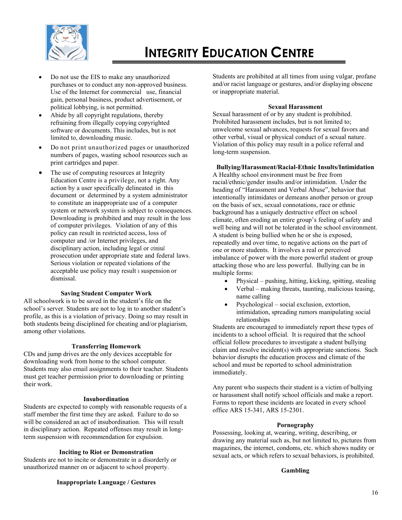

- Do not use the EIS to make any unauthorized purchases or to conduct any non-approved business. Use of the Internet for commercial use, financial gain, personal business, product advertisement, or political lobbying, is not permitted.
- Abide by all copyright regulations, thereby refraining from illegally copying copyrighted software or documents. This includes, but is not limited to, downloading music.
- Do not print unauthorized pages or unauthorized numbers of pages, wasting school resources such as print cartridges and paper.
- The use of computing resources at Integrity Education Centre is a privilege, not a right. Any action by a user specifically delineated in this document or determined by a system administrator to constitute an inappropriate use of a computer system or network system is subject to consequences. Downloading is prohibited and may result in the loss of computer privileges. Violation of any of this policy can result in restricted access, loss of computer and /or Internet privileges, and disciplinary action, including legal or criminal prosecution under appropriate state and federal laws. Serious violation or repeated violations of the acceptable use policy may result i suspension or dismissal.

### **Saving Student Computer Work**

All schoolwork is to be saved in the student's file on the school's server. Students are not to log in to another student's profile, as this is a violation of privacy. Doing so may result in both students being disciplined for cheating and/or plagiarism, among other violations.

#### **Transferring Homework**

CDs and jump drives are the only devices acceptable for downloading work from home to the school computer. Students may also email assignments to their teacher. Students must get teacher permission prior to downloading or printing their work.

#### **Insubordination**

Students are expected to comply with reasonable requests of a staff member the first time they are asked. Failure to do so will be considered an act of insubordination. This will result in disciplinary action. Repeated offenses may result in longterm suspension with recommendation for expulsion.

#### **Inciting to Riot or Demonstration**

Students are not to incite or demonstrate in a disorderly or unauthorized manner on or adjacent to school property.

Students are prohibited at all times from using vulgar, profane and/or racist language or gestures, and/or displaying obscene or inappropriate material.

#### **Sexual Harassment**

Sexual harassment of or by any student is prohibited. Prohibited harassment includes, but is not limited to; unwelcome sexual advances, requests for sexual favors and other verbal, visual or physical conduct of a sexual nature. Violation of this policy may result in a police referral and long-term suspension.

#### **Bullying/Harassment/Racial-Ethnic Insults/Intimidation**

A Healthy school environment must be free from racial/ethnic/gender insults and/or intimidation. Under the heading of "Harassment and Verbal Abuse", behavior that intentionally intimidates or demeans another person or group on the basis of sex, sexual connotations, race or ethnic background has a uniquely destructive effect on school climate, often eroding an entire group's feeling of safety and well being and will not be tolerated in the school environment. A student is being bullied when he or she is exposed, repeatedly and over time, to negative actions on the part of one or more students. It involves a real or perceived imbalance of power with the more powerful student or group attacking those who are less powerful. Bullying can be in multiple forms:

- Physical pushing, hitting, kicking, spitting, stealing
- Verbal making threats, taunting, malicious teasing, name calling
- Psychological social exclusion, extortion, intimidation, spreading rumors manipulating social relationships

Students are encouraged to immediately report these types of incidents to a school official. It is required that the school official follow procedures to investigate a student bullying claim and resolve incident(s) with appropriate sanctions. Such behavior disrupts the education process and climate of the school and must be reported to school administration immediately.

Any parent who suspects their student is a victim of bullying or harassment shall notify school officials and make a report. Forms to report these incidents are located in every school office ARS 15-341, ARS 15-2301.

#### **Pornography**

Possessing, looking at, wearing, writing, describing, or drawing any material such as, but not limited to, pictures from magazines, the internet, condoms, etc. which shows nudity or sexual acts, or which refers to sexual behaviors, is prohibited.

#### **Gambling**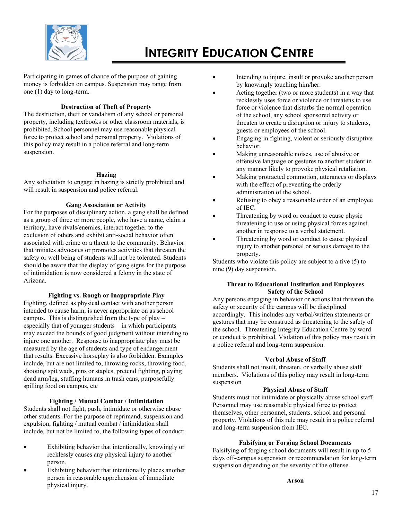

Participating in games of chance of the purpose of gaining money is forbidden on campus. Suspension may range from one (1) day to long-term.

# **Destruction of Theft of Property**

The destruction, theft or vandalism of any school or personal property, including textbooks or other classroom materials, is prohibited. School personnel may use reasonable physical force to protect school and personal property. Violations of this policy may result in a police referral and long-term suspension.

# **Hazing**

Any solicitation to engage in hazing is strictly prohibited and will result in suspension and police referral.

# **Gang Association or Activity**

For the purposes of disciplinary action, a gang shall be defined as a group of three or more people, who have a name, claim a territory, have rivals/enemies, interact together to the exclusion of others and exhibit anti-social behavior often associated with crime or a threat to the community. Behavior that initiates advocates or promotes activities that threaten the safety or well being of students will not be tolerated. Students should be aware that the display of gang signs for the purpose of intimidation is now considered a felony in the state of Arizona.

# **Fighting vs. Rough or Inappropriate Play**

Fighting, defined as physical contact with another person intended to cause harm, is never appropriate on as school campus. This is distinguished from the type of play – especially that of younger students – in which participants may exceed the bounds of good judgment without intending to injure one another. Response to inappropriate play must be measured by the age of students and type of endangerment that results. Excessive horseplay is also forbidden. Examples include, but are not limited to, throwing rocks, throwing food, shooting spit wads, pins or staples, pretend fighting, playing dead arm/leg, stuffing humans in trash cans, purposefully spilling food on campus, etc

# **Fighting / Mutual Combat / Intimidation**

Students shall not fight, push, intimidate or otherwise abuse other students. For the purpose of reprimand, suspension and expulsion, fighting / mutual combat / intimidation shall include, but not be limited to, the following types of conduct:

- Exhibiting behavior that intentionally, knowingly or recklessly causes any physical injury to another person.
- Exhibiting behavior that intentionally places another person in reasonable apprehension of immediate physical injury.
- Intending to injure, insult or provoke another person by knowingly touching him/her.
- Acting together (two or more students) in a way that recklessly uses force or violence or threatens to use force or violence that disturbs the normal operation of the school, any school sponsored activity or threaten to create a disruption or injury to students, guests or employees of the school.
- Engaging in fighting, violent or seriously disruptive behavior.
- Making unreasonable noises, use of abusive or offensive language or gestures to another student in any manner likely to provoke physical retaliation.
- Making protracted commotion, utterances or displays with the effect of preventing the orderly administration of the school.
- Refusing to obey a reasonable order of an employee of IEC.
- Threatening by word or conduct to cause physic threatening to use or using physical forces against another in response to a verbal statement.
- Threatening by word or conduct to cause physical injury to another personal or serious damage to the property.

Students who violate this policy are subject to a five (5) to nine (9) day suspension.

### **Threat to Educational Institution and Employees Safety of the School**

Any persons engaging in behavior or actions that threaten the safety or security of the campus will be disciplined accordingly. This includes any verbal/written statements or gestures that may be construed as threatening to the safety of the school. Threatening Integrity Education Centre by word or conduct is prohibited. Violation of this policy may result in a police referral and long-term suspension.

# **Verbal Abuse of Staff**

Students shall not insult, threaten, or verbally abuse staff members. Violations of this policy may result in long-term suspension

#### **Physical Abuse of Staff**

Students must not intimidate or physically abuse school staff. Personnel may use reasonable physical force to protect themselves, other personnel, students, school and personal property. Violations of this rule may result in a police referral and long-term suspension from IEC.

# **Falsifying or Forging School Documents**

Falsifying of forging school documents will result in up to 5 days off-campus suspension or recommendation for long-term suspension depending on the severity of the offense.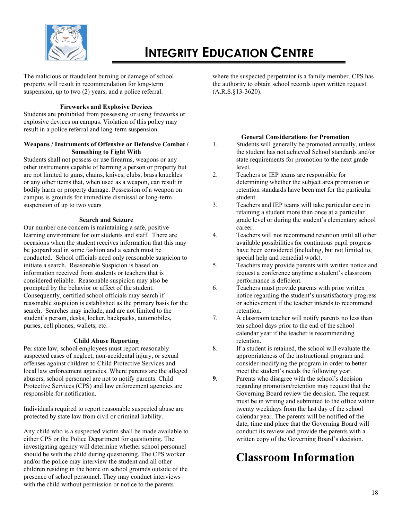

The malicious or fraudulent burning or damage of school property will result in recommendation for long-term suspension, up to two (2) years, and a police referral.

# **Fireworks and Explosive Devices**

Students are prohibited from possessing or using fireworks or explosive devices on campus. Violation of this policy may result in a police referral and long-term suspension.

# **Weapons / Instruments of Offensive or Defensive Combat / Something to Fight With**

Students shall not possess or use firearms, weapons or any other instruments capable of harming a person or property but are not limited to guns, chains, knives, clubs, brass knuckles or any other items that, when used as a weapon, can result in bodily harm or property damage. Possession of a weapon on campus is grounds for immediate dismissal or long-term suspension of up to two years

# **Search and Seizure**

Our number one concern is maintaining a safe, positive learning environment for our students and staff. There are occasions when the student receives information that this may be jeopardized in some fashion and a search must be conducted. School officials need only reasonable suspicion to initiate a search. Reasonable Suspicion is based on information received from students or teachers that is considered reliable. Reasonable suspicion may also be prompted by the behavior or affect of the student. Consequently, certified school officials may search if reasonable suspicion is established as the primary basis for the search. Searches may include, and are not limited to the student's person, desks, locker, backpacks, automobiles, purses, cell phones, wallets, etc.

# **Child Abuse Reporting**

Per state law, school employees must report reasonably suspected cases of neglect, non-accidental injury, or sexual offenses against children to Child Protective Services and local law enforcement agencies. Where parents are the alleged abusers, school personnel are not to notify parents. Child Protective Services (CPS) and law enforcement agencies are responsible for notification.

Individuals required to report reasonable suspected abuse are protected by state law from civil or criminal liability.

Any child who is a suspected victim shall be made available to either CPS or the Police Department for questioning. The investigating agency will determine whether school personnel should be with the child during questioning. The CPS worker and/or the police may interview the student and all other children residing in the home on school grounds outside of the presence of school personnel. They may conduct interviews with the child without permission or notice to the parents

where the suspected perpetrator is a family member. CPS has the authority to obtain school records upon written request.  $(A.R.S.\$ §13-3620).

# **General Considerations for Promotion**

- 1. Students will generally be promoted annually, unless the student has not achieved School standards and/or state requirements for promotion to the next grade level.
- 2. Teachers or IEP teams are responsible for determining whether the subject area promotion or retention standards have been met for the particular student.
- 3. Teachers and IEP teams will take particular care in retaining a student more than once at a particular grade level or during the student's elementary school career.
- 4. Teachers will not recommend retention until all other available possibilities for continuous pupil progress have been considered (including, but not limited to, special help and remedial work).
- 5. Teachers may provide parents with written notice and request a conference anytime a student's classroom performance is deficient.
- 6. Teachers must provide parents with prior written notice regarding the student's unsatisfactory progress or achievement if the teacher intends to recommend retention.
- 7. A classroom teacher will notify parents no less than ten school days prior to the end of the school calendar year if the teacher is recommending retention.
- 8. If a student is retained, the school will evaluate the appropriateness of the instructional program and consider modifying the program in order to better meet the student's needs the following year.
- **9.** Parents who disagree with the school's decision regarding promotion/retention may request that the Governing Board review the decision. The request must be in writing and submitted to the office within twenty weekdays from the last day of the school calendar year. The parents will be notified of the date, time and place that the Governing Board will conduct its review and provide the parents with a written copy of the Governing Board's decision.

# **Classroom Information**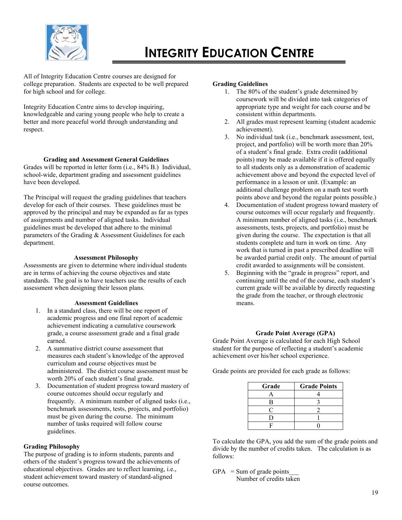

All of Integrity Education Centre courses are designed for college preparation. Students are expected to be well prepared for high school and for college.

Integrity Education Centre aims to develop inquiring, knowledgeable and caring young people who help to create a better and more peaceful world through understanding and respect.

# **Grading and Assessment General Guidelines**

Grades will be reported in letter form (i.e., 84% B.) Individual, school-wide, department grading and assessment guidelines have been developed.

The Principal will request the grading guidelines that teachers develop for each of their courses. These guidelines must be approved by the principal and may be expanded as far as types of assignments and number of aligned tasks. Individual guidelines must be developed that adhere to the minimal parameters of the Grading & Assessment Guidelines for each department.

#### **Assessment Philosophy**

Assessments are given to determine where individual students are in terms of achieving the course objectives and state standards. The goal is to have teachers use the results of each assessment when designing their lesson plans.

# **Assessment Guidelines**

- 1. In a standard class, there will be one report of academic progress and one final report of academic achievement indicating a cumulative coursework grade, a course assessment grade and a final grade earned.
- 2. A summative district course assessment that measures each student's knowledge of the approved curriculum and course objectives must be administered. The district course assessment must be worth 20% of each student's final grade.
- 3. Documentation of student progress toward mastery of course outcomes should occur regularly and frequently. A minimum number of aligned tasks (i.e., benchmark assessments, tests, projects, and portfolio) must be given during the course. The minimum number of tasks required will follow course guidelines.

# **Grading Philosophy**

The purpose of grading is to inform students, parents and others of the student's progress toward the achievements of educational objectives. Grades are to reflect learning, i.e., student achievement toward mastery of standard-aligned course outcomes.

#### **Grading Guidelines**

- 1. The 80% of the student's grade determined by coursework will be divided into task categories of appropriate type and weight for each course and be consistent within departments.
- 2. All grades must represent learning (student academic achievement).
- 3. No individual task (i.e., benchmark assessment, test, project, and portfolio) will be worth more than 20% of a student's final grade. Extra credit (additional points) may be made available if it is offered equally to all students only as a demonstration of academic achievement above and beyond the expected level of performance in a lesson or unit. (Example: an additional challenge problem on a math test worth points above and beyond the regular points possible.)
- 4. Documentation of student progress toward mastery of course outcomes will occur regularly and frequently. A minimum number of aligned tasks (i.e., benchmark assessments, tests, projects, and portfolio) must be given during the course. The expectation is that all students complete and turn in work on time. Any work that is turned in past a prescribed deadline will be awarded partial credit only. The amount of partial credit awarded to assignments will be consistent.
- 5. Beginning with the "grade in progress" report, and continuing until the end of the course, each student's current grade will be available by directly requesting the grade from the teacher, or through electronic means.

#### **Grade Point Average (GPA)**

Grade Point Average is calculated for each High School student for the purpose of reflecting a student's academic achievement over his/her school experience.

Grade points are provided for each grade as follows:

| Grade | <b>Grade Points</b> |
|-------|---------------------|
|       |                     |
| в     |                     |
|       |                     |
|       |                     |
|       |                     |

To calculate the GPA, you add the sum of the grade points and divide by the number of credits taken. The calculation is as follows:

 $GPA$  = Sum of grade points Number of credits taken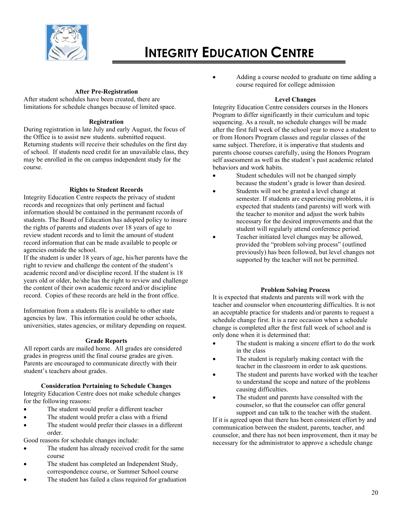

### **After Pre-Registration**

After student schedules have been created, there are limitations for schedule changes because of limited space.

### **Registration**

During registration in late July and early August, the focus of the Office is to assist new students. submitted request. Returning students will receive their schedules on the first day of school. If students need credit for an unavailable class, they may be enrolled in the on campus independent study for the course.

# **Rights to Student Records**

Integrity Education Centre respects the privacy of student records and recognizes that only pertinent and factual information should be contained in the permanent records of students. The Board of Education has adopted policy to insure the rights of parents and students over 18 years of age to review student records and to limit the amount of student record information that can be made available to people or agencies outside the school.

If the student is under 18 years of age, his/her parents have the right to review and challenge the content of the student's academic record and/or discipline record. If the student is 18 years old or older, he/she has the right to review and challenge the content of their own academic record and/or discipline record. Copies of these records are held in the front office.

Information from a students file is available to other state agencies by law. This information could be other schools, universities, states agencies, or military depending on request.

# **Grade Reports**

All report cards are mailed home. All grades are considered grades in progress unitl the final course grades are given. Parents are encouraged to communicate directly with their student's teachers about grades.

# **Consideration Pertaining to Schedule Changes**

Integrity Education Centre does not make schedule changes for the following reasons:

- The student would prefer a different teacher
- The student would prefer a class with a friend
- The student would prefer their classes in a different order.

Good reasons for schedule changes include:

- The student has already received credit for the same course
- The student has completed an Independent Study, correspondence course, or Summer School course
- The student has failed a class required for graduation

• Adding a course needed to graduate on time adding a course required for college admission

# **Level Changes**

Integrity Education Centre considers courses in the Honors Program to differ significantly in their curriculum and topic sequencing. As a result, no schedule changes will be made after the first full week of the school year to move a student to or from Honors Program classes and regular classes of the same subject. Therefore, it is imperative that students and parents choose courses carefully, using the Honors Program self assessment as well as the student's past academic related behaviors and work habits.

- Student schedules will not be changed simply because the student's grade is lower than desired.
- Students will not be granted a level change at semester. If students are experiencing problems, it is expected that students (and parents) will work with the teacher to monitor and adjust the work habits necessary for the desired improvements and that the student will regularly attend conference period.
- Teacher initiated level changes may be allowed, provided the "problem solving process" (outlined previously) has been followed, but level changes not supported by the teacher will not be permitted.

# **Problem Solving Process**

It is expected that students and parents will work with the teacher and counselor when encountering difficulties. It is not an acceptable practice for students and/or parents to request a schedule change first. It is a rare occasion when a schedule change is completed after the first full week of school and is only done when it is determined that:

- The student is making a sincere effort to do the work in the class
- The student is regularly making contact with the teacher in the classroom in order to ask questions.
- The student and parents have worked with the teacher to understand the scope and nature of the problems causing difficulties.
- The student and parents have consulted with the counselor, so that the counselor can offer general support and can talk to the teacher with the student.

If it is agreed upon that there has been consistent effort by and communication between the student, parents, teacher, and counselor, and there has not been improvement, then it may be necessary for the administrator to approve a schedule change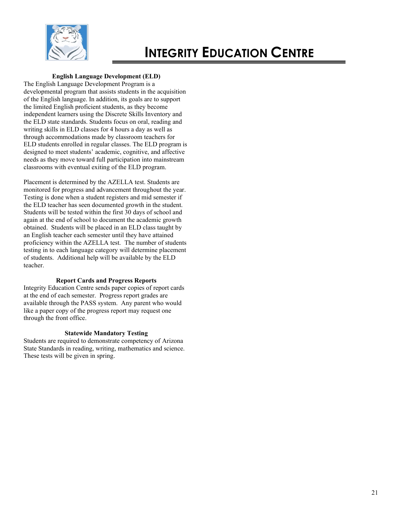

# **English Language Development (ELD)**

The English Language Development Program is a developmental program that assists students in the acquisition of the English language. In addition, its goals are to support the limited English proficient students, as they become independent learners using the Discrete Skills Inventory and the ELD state standards. Students focus on oral, reading and writing skills in ELD classes for 4 hours a day as well as through accommodations made by classroom teachers for ELD students enrolled in regular classes. The ELD program is designed to meet students' academic, cognitive, and affective needs as they move toward full participation into mainstream classrooms with eventual exiting of the ELD program.

Placement is determined by the AZELLA test. Students are monitored for progress and advancement throughout the year. Testing is done when a student registers and mid semester if the ELD teacher has seen documented growth in the student. Students will be tested within the first 30 days of school and again at the end of school to document the academic growth obtained. Students will be placed in an ELD class taught by an English teacher each semester until they have attained proficiency within the AZELLA test. The number of students testing in to each language category will determine placement of students. Additional help will be available by the ELD teacher.

# **Report Cards and Progress Reports**

Integrity Education Centre sends paper copies of report cards at the end of each semester. Progress report grades are available through the PASS system. Any parent who would like a paper copy of the progress report may request one through the front office.

# **Statewide Mandatory Testing**

Students are required to demonstrate competency of Arizona State Standards in reading, writing, mathematics and science. These tests will be given in spring.